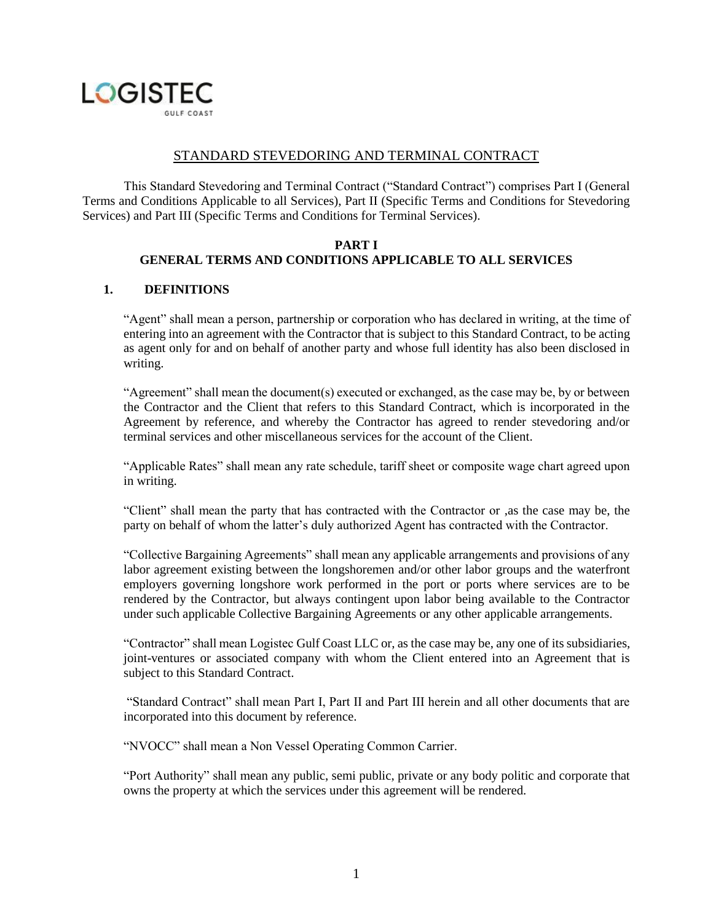

# STANDARD STEVEDORING AND TERMINAL CONTRACT

This Standard Stevedoring and Terminal Contract ("Standard Contract") comprises Part I (General Terms and Conditions Applicable to all Services), Part II (Specific Terms and Conditions for Stevedoring Services) and Part III (Specific Terms and Conditions for Terminal Services).

#### **PART I GENERAL TERMS AND CONDITIONS APPLICABLE TO ALL SERVICES**

### **1. DEFINITIONS**

"Agent" shall mean a person, partnership or corporation who has declared in writing, at the time of entering into an agreement with the Contractor that is subject to this Standard Contract, to be acting as agent only for and on behalf of another party and whose full identity has also been disclosed in writing.

"Agreement" shall mean the document(s) executed or exchanged, as the case may be, by or between the Contractor and the Client that refers to this Standard Contract, which is incorporated in the Agreement by reference, and whereby the Contractor has agreed to render stevedoring and/or terminal services and other miscellaneous services for the account of the Client.

"Applicable Rates" shall mean any rate schedule, tariff sheet or composite wage chart agreed upon in writing.

"Client" shall mean the party that has contracted with the Contractor or ,as the case may be, the party on behalf of whom the latter's duly authorized Agent has contracted with the Contractor.

"Collective Bargaining Agreements" shall mean any applicable arrangements and provisions of any labor agreement existing between the longshoremen and/or other labor groups and the waterfront employers governing longshore work performed in the port or ports where services are to be rendered by the Contractor, but always contingent upon labor being available to the Contractor under such applicable Collective Bargaining Agreements or any other applicable arrangements.

"Contractor" shall mean Logistec Gulf Coast LLC or, as the case may be, any one of its subsidiaries, joint-ventures or associated company with whom the Client entered into an Agreement that is subject to this Standard Contract.

"Standard Contract" shall mean Part I, Part II and Part III herein and all other documents that are incorporated into this document by reference.

"NVOCC" shall mean a Non Vessel Operating Common Carrier.

"Port Authority" shall mean any public, semi public, private or any body politic and corporate that owns the property at which the services under this agreement will be rendered.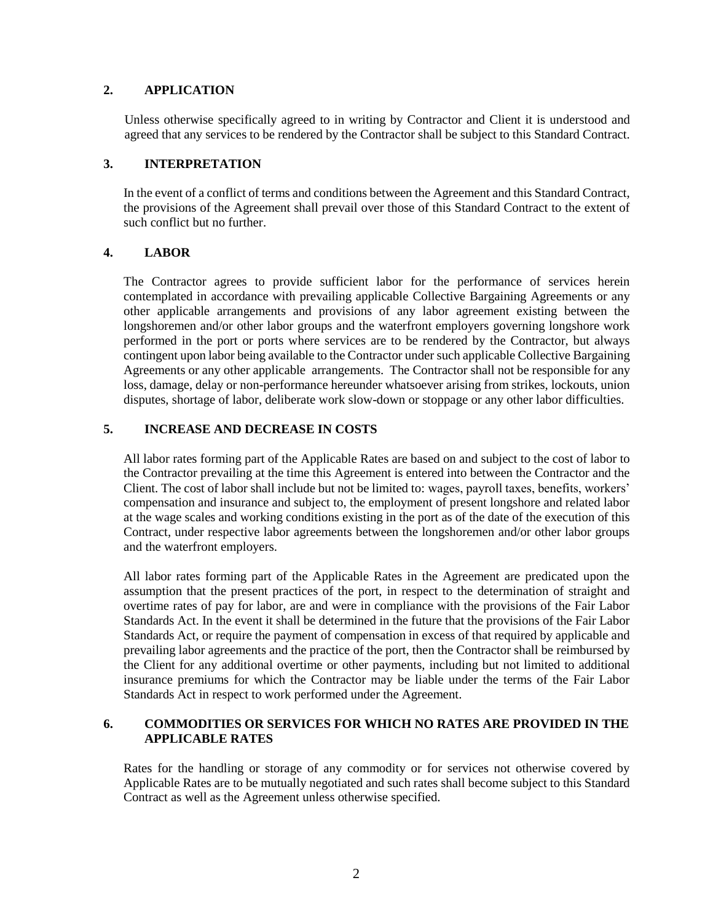# **2. APPLICATION**

Unless otherwise specifically agreed to in writing by Contractor and Client it is understood and agreed that any services to be rendered by the Contractor shall be subject to this Standard Contract.

## **3. INTERPRETATION**

In the event of a conflict of terms and conditions between the Agreement and this Standard Contract, the provisions of the Agreement shall prevail over those of this Standard Contract to the extent of such conflict but no further.

# **4. LABOR**

The Contractor agrees to provide sufficient labor for the performance of services herein contemplated in accordance with prevailing applicable Collective Bargaining Agreements or any other applicable arrangements and provisions of any labor agreement existing between the longshoremen and/or other labor groups and the waterfront employers governing longshore work performed in the port or ports where services are to be rendered by the Contractor, but always contingent upon labor being available to the Contractor under such applicable Collective Bargaining Agreements or any other applicable arrangements. The Contractor shall not be responsible for any loss, damage, delay or non-performance hereunder whatsoever arising from strikes, lockouts, union disputes, shortage of labor, deliberate work slow-down or stoppage or any other labor difficulties.

# **5. INCREASE AND DECREASE IN COSTS**

All labor rates forming part of the Applicable Rates are based on and subject to the cost of labor to the Contractor prevailing at the time this Agreement is entered into between the Contractor and the Client. The cost of labor shall include but not be limited to: wages, payroll taxes, benefits, workers' compensation and insurance and subject to, the employment of present longshore and related labor at the wage scales and working conditions existing in the port as of the date of the execution of this Contract, under respective labor agreements between the longshoremen and/or other labor groups and the waterfront employers.

All labor rates forming part of the Applicable Rates in the Agreement are predicated upon the assumption that the present practices of the port, in respect to the determination of straight and overtime rates of pay for labor, are and were in compliance with the provisions of the Fair Labor Standards Act. In the event it shall be determined in the future that the provisions of the Fair Labor Standards Act, or require the payment of compensation in excess of that required by applicable and prevailing labor agreements and the practice of the port, then the Contractor shall be reimbursed by the Client for any additional overtime or other payments, including but not limited to additional insurance premiums for which the Contractor may be liable under the terms of the Fair Labor Standards Act in respect to work performed under the Agreement.

# **6. COMMODITIES OR SERVICES FOR WHICH NO RATES ARE PROVIDED IN THE APPLICABLE RATES**

Rates for the handling or storage of any commodity or for services not otherwise covered by Applicable Rates are to be mutually negotiated and such rates shall become subject to this Standard Contract as well as the Agreement unless otherwise specified.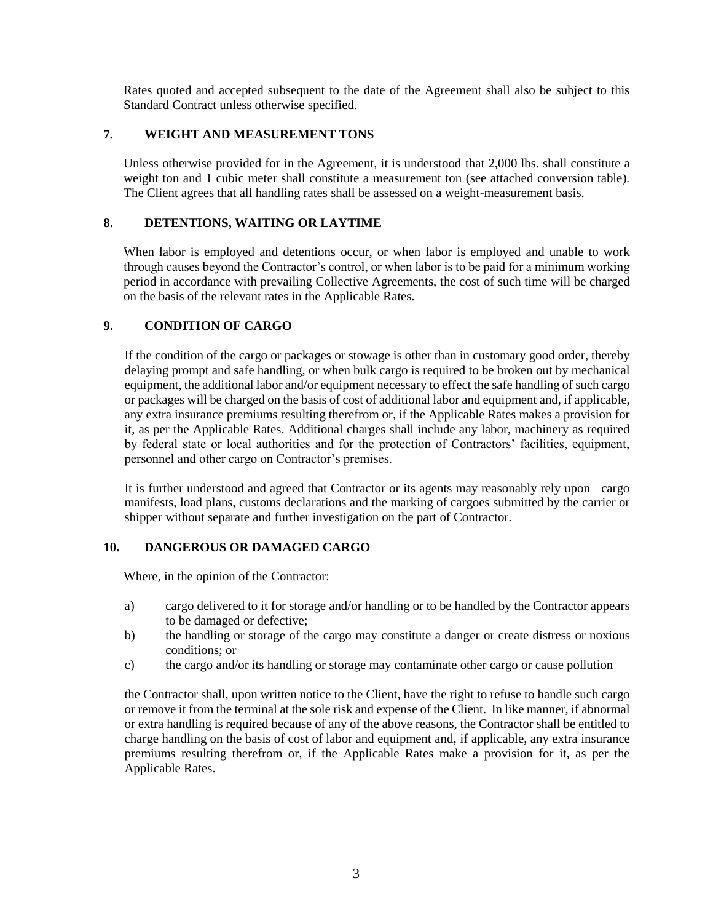Rates quoted and accepted subsequent to the date of the Agreement shall also be subject to this Standard Contract unless otherwise specified.

# **7. WEIGHT AND MEASUREMENT TONS**

Unless otherwise provided for in the Agreement, it is understood that 2,000 lbs. shall constitute a weight ton and 1 cubic meter shall constitute a measurement ton (see attached conversion table). The Client agrees that all handling rates shall be assessed on a weight-measurement basis.

## **8. DETENTIONS, WAITING OR LAYTIME**

When labor is employed and detentions occur, or when labor is employed and unable to work through causes beyond the Contractor's control, or when labor is to be paid for a minimum working period in accordance with prevailing Collective Agreements, the cost of such time will be charged on the basis of the relevant rates in the Applicable Rates.

# **9. CONDITION OF CARGO**

If the condition of the cargo or packages or stowage is other than in customary good order, thereby delaying prompt and safe handling, or when bulk cargo is required to be broken out by mechanical equipment, the additional labor and/or equipment necessary to effect the safe handling of such cargo or packages will be charged on the basis of cost of additional labor and equipment and, if applicable, any extra insurance premiums resulting therefrom or, if the Applicable Rates makes a provision for it, as per the Applicable Rates. Additional charges shall include any labor, machinery as required by federal state or local authorities and for the protection of Contractors' facilities, equipment, personnel and other cargo on Contractor's premises.

It is further understood and agreed that Contractor or its agents may reasonably rely upon cargo manifests, load plans, customs declarations and the marking of cargoes submitted by the carrier or shipper without separate and further investigation on the part of Contractor.

### **10. DANGEROUS OR DAMAGED CARGO**

Where, in the opinion of the Contractor:

- a) cargo delivered to it for storage and/or handling or to be handled by the Contractor appears to be damaged or defective;
- b) the handling or storage of the cargo may constitute a danger or create distress or noxious conditions; or
- c) the cargo and/or its handling or storage may contaminate other cargo or cause pollution

the Contractor shall, upon written notice to the Client, have the right to refuse to handle such cargo or remove it from the terminal at the sole risk and expense of the Client. In like manner, if abnormal or extra handling is required because of any of the above reasons, the Contractor shall be entitled to charge handling on the basis of cost of labor and equipment and, if applicable, any extra insurance premiums resulting therefrom or, if the Applicable Rates make a provision for it, as per the Applicable Rates.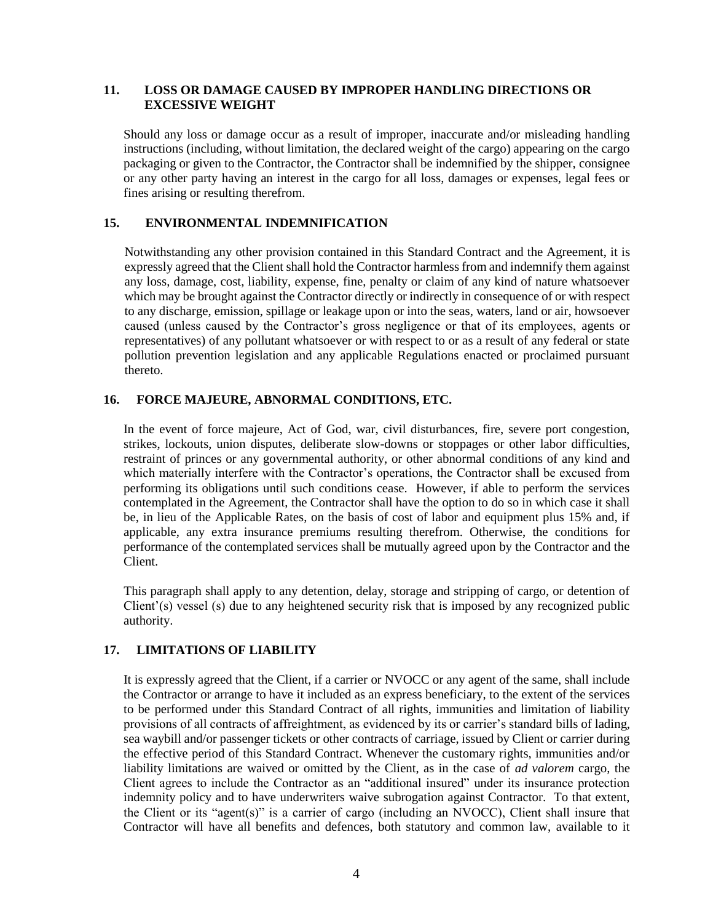## **11. LOSS OR DAMAGE CAUSED BY IMPROPER HANDLING DIRECTIONS OR EXCESSIVE WEIGHT**

Should any loss or damage occur as a result of improper, inaccurate and/or misleading handling instructions (including, without limitation, the declared weight of the cargo) appearing on the cargo packaging or given to the Contractor, the Contractor shall be indemnified by the shipper, consignee or any other party having an interest in the cargo for all loss, damages or expenses, legal fees or fines arising or resulting therefrom.

## **15. ENVIRONMENTAL INDEMNIFICATION**

Notwithstanding any other provision contained in this Standard Contract and the Agreement, it is expressly agreed that the Client shall hold the Contractor harmless from and indemnify them against any loss, damage, cost, liability, expense, fine, penalty or claim of any kind of nature whatsoever which may be brought against the Contractor directly or indirectly in consequence of or with respect to any discharge, emission, spillage or leakage upon or into the seas, waters, land or air, howsoever caused (unless caused by the Contractor's gross negligence or that of its employees, agents or representatives) of any pollutant whatsoever or with respect to or as a result of any federal or state pollution prevention legislation and any applicable Regulations enacted or proclaimed pursuant thereto.

# **16. FORCE MAJEURE, ABNORMAL CONDITIONS, ETC.**

In the event of force majeure, Act of God, war, civil disturbances, fire, severe port congestion, strikes, lockouts, union disputes, deliberate slow-downs or stoppages or other labor difficulties, restraint of princes or any governmental authority, or other abnormal conditions of any kind and which materially interfere with the Contractor's operations, the Contractor shall be excused from performing its obligations until such conditions cease. However, if able to perform the services contemplated in the Agreement, the Contractor shall have the option to do so in which case it shall be, in lieu of the Applicable Rates, on the basis of cost of labor and equipment plus 15% and, if applicable, any extra insurance premiums resulting therefrom. Otherwise, the conditions for performance of the contemplated services shall be mutually agreed upon by the Contractor and the Client.

This paragraph shall apply to any detention, delay, storage and stripping of cargo, or detention of Client'(s) vessel (s) due to any heightened security risk that is imposed by any recognized public authority.

# **17. LIMITATIONS OF LIABILITY**

It is expressly agreed that the Client, if a carrier or NVOCC or any agent of the same, shall include the Contractor or arrange to have it included as an express beneficiary, to the extent of the services to be performed under this Standard Contract of all rights, immunities and limitation of liability provisions of all contracts of affreightment, as evidenced by its or carrier's standard bills of lading, sea waybill and/or passenger tickets or other contracts of carriage, issued by Client or carrier during the effective period of this Standard Contract. Whenever the customary rights, immunities and/or liability limitations are waived or omitted by the Client, as in the case of *ad valorem* cargo, the Client agrees to include the Contractor as an "additional insured" under its insurance protection indemnity policy and to have underwriters waive subrogation against Contractor. To that extent, the Client or its "agent(s)" is a carrier of cargo (including an NVOCC), Client shall insure that Contractor will have all benefits and defences, both statutory and common law, available to it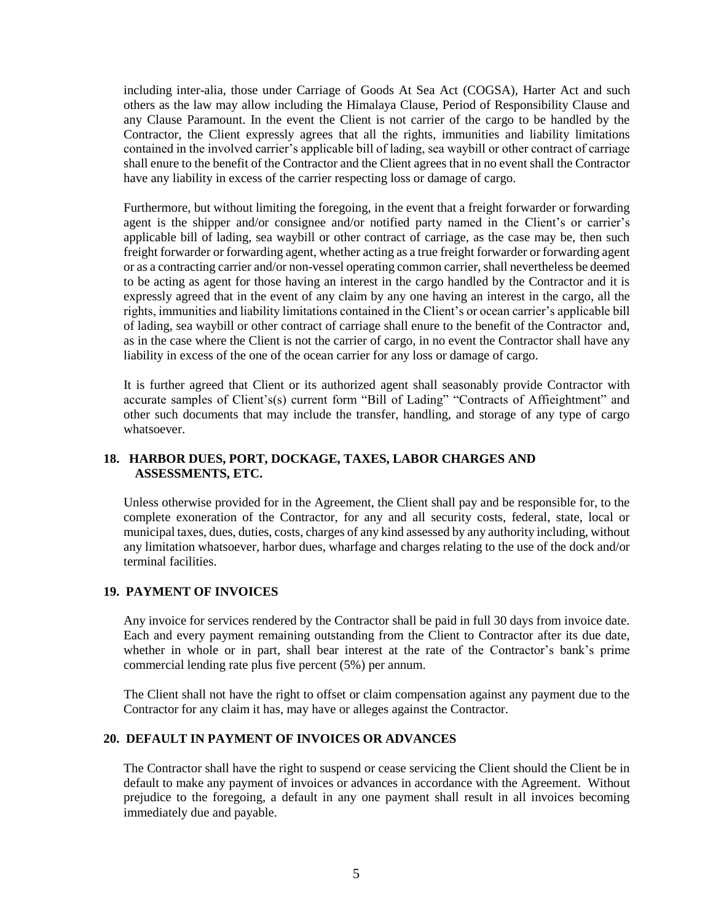including inter-alia, those under Carriage of Goods At Sea Act (COGSA), Harter Act and such others as the law may allow including the Himalaya Clause, Period of Responsibility Clause and any Clause Paramount. In the event the Client is not carrier of the cargo to be handled by the Contractor, the Client expressly agrees that all the rights, immunities and liability limitations contained in the involved carrier's applicable bill of lading, sea waybill or other contract of carriage shall enure to the benefit of the Contractor and the Client agrees that in no event shall the Contractor have any liability in excess of the carrier respecting loss or damage of cargo.

Furthermore, but without limiting the foregoing, in the event that a freight forwarder or forwarding agent is the shipper and/or consignee and/or notified party named in the Client's or carrier's applicable bill of lading, sea waybill or other contract of carriage, as the case may be, then such freight forwarder or forwarding agent, whether acting as a true freight forwarder or forwarding agent or as a contracting carrier and/or non-vessel operating common carrier, shall nevertheless be deemed to be acting as agent for those having an interest in the cargo handled by the Contractor and it is expressly agreed that in the event of any claim by any one having an interest in the cargo, all the rights, immunities and liability limitations contained in the Client's or ocean carrier's applicable bill of lading, sea waybill or other contract of carriage shall enure to the benefit of the Contractor and, as in the case where the Client is not the carrier of cargo, in no event the Contractor shall have any liability in excess of the one of the ocean carrier for any loss or damage of cargo.

It is further agreed that Client or its authorized agent shall seasonably provide Contractor with accurate samples of Client's(s) current form "Bill of Lading" "Contracts of Affieightment" and other such documents that may include the transfer, handling, and storage of any type of cargo whatsoever.

# **18. HARBOR DUES, PORT, DOCKAGE, TAXES, LABOR CHARGES AND ASSESSMENTS, ETC.**

Unless otherwise provided for in the Agreement, the Client shall pay and be responsible for, to the complete exoneration of the Contractor, for any and all security costs, federal, state, local or municipal taxes, dues, duties, costs, charges of any kind assessed by any authority including, without any limitation whatsoever, harbor dues, wharfage and charges relating to the use of the dock and/or terminal facilities.

# **19. PAYMENT OF INVOICES**

Any invoice for services rendered by the Contractor shall be paid in full 30 days from invoice date. Each and every payment remaining outstanding from the Client to Contractor after its due date, whether in whole or in part, shall bear interest at the rate of the Contractor's bank's prime commercial lending rate plus five percent (5%) per annum.

The Client shall not have the right to offset or claim compensation against any payment due to the Contractor for any claim it has, may have or alleges against the Contractor.

### **20. DEFAULT IN PAYMENT OF INVOICES OR ADVANCES**

The Contractor shall have the right to suspend or cease servicing the Client should the Client be in default to make any payment of invoices or advances in accordance with the Agreement. Without prejudice to the foregoing, a default in any one payment shall result in all invoices becoming immediately due and payable.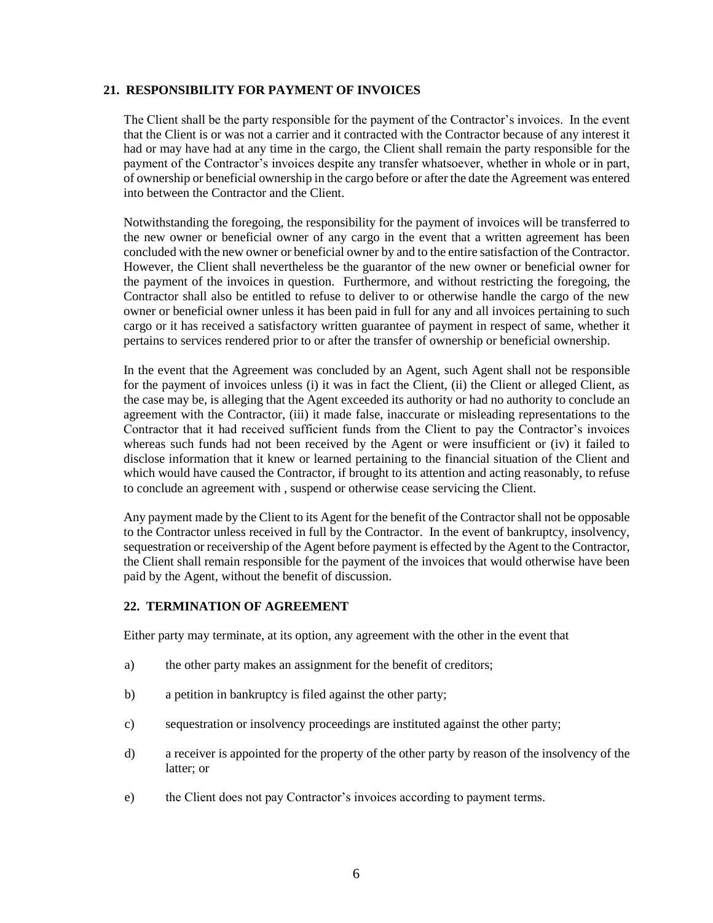## **21. RESPONSIBILITY FOR PAYMENT OF INVOICES**

The Client shall be the party responsible for the payment of the Contractor's invoices. In the event that the Client is or was not a carrier and it contracted with the Contractor because of any interest it had or may have had at any time in the cargo, the Client shall remain the party responsible for the payment of the Contractor's invoices despite any transfer whatsoever, whether in whole or in part, of ownership or beneficial ownership in the cargo before or after the date the Agreement was entered into between the Contractor and the Client.

Notwithstanding the foregoing, the responsibility for the payment of invoices will be transferred to the new owner or beneficial owner of any cargo in the event that a written agreement has been concluded with the new owner or beneficial owner by and to the entire satisfaction of the Contractor. However, the Client shall nevertheless be the guarantor of the new owner or beneficial owner for the payment of the invoices in question. Furthermore, and without restricting the foregoing, the Contractor shall also be entitled to refuse to deliver to or otherwise handle the cargo of the new owner or beneficial owner unless it has been paid in full for any and all invoices pertaining to such cargo or it has received a satisfactory written guarantee of payment in respect of same, whether it pertains to services rendered prior to or after the transfer of ownership or beneficial ownership.

In the event that the Agreement was concluded by an Agent, such Agent shall not be responsible for the payment of invoices unless (i) it was in fact the Client, (ii) the Client or alleged Client, as the case may be, is alleging that the Agent exceeded its authority or had no authority to conclude an agreement with the Contractor, (iii) it made false, inaccurate or misleading representations to the Contractor that it had received sufficient funds from the Client to pay the Contractor's invoices whereas such funds had not been received by the Agent or were insufficient or (iv) it failed to disclose information that it knew or learned pertaining to the financial situation of the Client and which would have caused the Contractor, if brought to its attention and acting reasonably, to refuse to conclude an agreement with , suspend or otherwise cease servicing the Client.

Any payment made by the Client to its Agent for the benefit of the Contractor shall not be opposable to the Contractor unless received in full by the Contractor. In the event of bankruptcy, insolvency, sequestration or receivership of the Agent before payment is effected by the Agent to the Contractor, the Client shall remain responsible for the payment of the invoices that would otherwise have been paid by the Agent, without the benefit of discussion.

### **22. TERMINATION OF AGREEMENT**

Either party may terminate, at its option, any agreement with the other in the event that

- a) the other party makes an assignment for the benefit of creditors;
- b) a petition in bankruptcy is filed against the other party;
- c) sequestration or insolvency proceedings are instituted against the other party;
- d) a receiver is appointed for the property of the other party by reason of the insolvency of the latter; or
- e) the Client does not pay Contractor's invoices according to payment terms.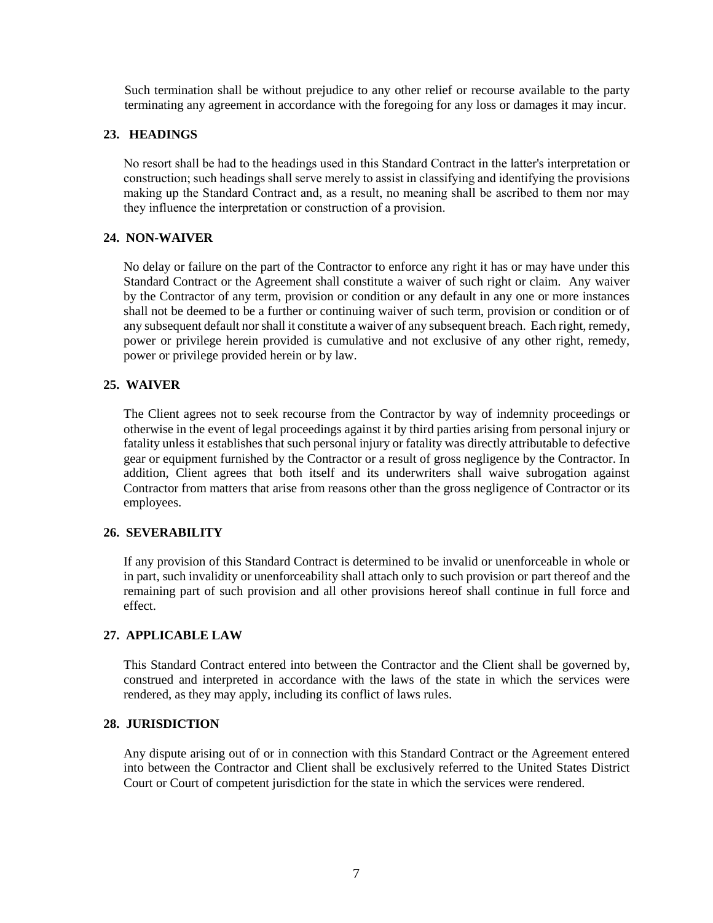Such termination shall be without prejudice to any other relief or recourse available to the party terminating any agreement in accordance with the foregoing for any loss or damages it may incur.

# **23. HEADINGS**

**No resort shall be had to the headings used in this Standard Contract in the latter's interpretation or construction; such headings shall serve merely to assist in classifying and identifying the provisions making up the Standard Contract and, as a result, no meaning shall be ascribed to them nor may they influence the interpretation or construction of a provision.**

# **24. NON-WAIVER**

No delay or failure on the part of the Contractor to enforce any right it has or may have under this Standard Contract or the Agreement shall constitute a waiver of such right or claim. Any waiver by the Contractor of any term, provision or condition or any default in any one or more instances shall not be deemed to be a further or continuing waiver of such term, provision or condition or of any subsequent default nor shall it constitute a waiver of any subsequent breach. Each right, remedy, power or privilege herein provided is cumulative and not exclusive of any other right, remedy, power or privilege provided herein or by law.

# **25. WAIVER**

The Client agrees not to seek recourse from the Contractor by way of indemnity proceedings or otherwise in the event of legal proceedings against it by third parties arising from personal injury or fatality unless it establishes that such personal injury or fatality was directly attributable to defective gear or equipment furnished by the Contractor or a result of gross negligence by the Contractor. In addition, Client agrees that both itself and its underwriters shall waive subrogation against Contractor from matters that arise from reasons other than the gross negligence of Contractor or its employees.

### **26. SEVERABILITY**

If any provision of this Standard Contract is determined to be invalid or unenforceable in whole or in part, such invalidity or unenforceability shall attach only to such provision or part thereof and the remaining part of such provision and all other provisions hereof shall continue in full force and effect.

### **27. APPLICABLE LAW**

This Standard Contract entered into between the Contractor and the Client shall be governed by, construed and interpreted in accordance with the laws of the state in which the services were rendered, as they may apply, including its conflict of laws rules.

### **28. JURISDICTION**

Any dispute arising out of or in connection with this Standard Contract or the Agreement entered into between the Contractor and Client shall be exclusively referred to the United States District Court or Court of competent jurisdiction for the state in which the services were rendered.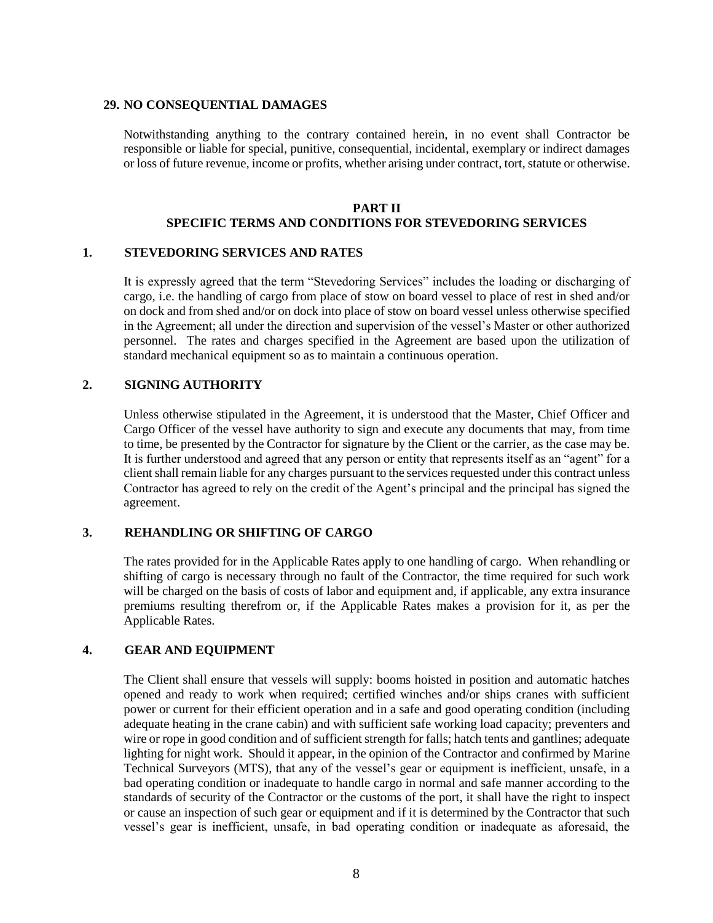#### **29. NO CONSEQUENTIAL DAMAGES**

Notwithstanding anything to the contrary contained herein, in no event shall Contractor be responsible or liable for special, punitive, consequential, incidental, exemplary or indirect damages or loss of future revenue, income or profits, whether arising under contract, tort, statute or otherwise.

#### **PART II**

# **SPECIFIC TERMS AND CONDITIONS FOR STEVEDORING SERVICES**

#### **1. STEVEDORING SERVICES AND RATES**

It is expressly agreed that the term "Stevedoring Services" includes the loading or discharging of cargo, i.e. the handling of cargo from place of stow on board vessel to place of rest in shed and/or on dock and from shed and/or on dock into place of stow on board vessel unless otherwise specified in the Agreement; all under the direction and supervision of the vessel's Master or other authorized personnel. The rates and charges specified in the Agreement are based upon the utilization of standard mechanical equipment so as to maintain a continuous operation.

#### **2. SIGNING AUTHORITY**

Unless otherwise stipulated in the Agreement, it is understood that the Master, Chief Officer and Cargo Officer of the vessel have authority to sign and execute any documents that may, from time to time, be presented by the Contractor for signature by the Client or the carrier, as the case may be. It is further understood and agreed that any person or entity that represents itself as an "agent" for a client shall remain liable for any charges pursuant to the services requested under this contract unless Contractor has agreed to rely on the credit of the Agent's principal and the principal has signed the agreement.

### **3. REHANDLING OR SHIFTING OF CARGO**

The rates provided for in the Applicable Rates apply to one handling of cargo. When rehandling or shifting of cargo is necessary through no fault of the Contractor, the time required for such work will be charged on the basis of costs of labor and equipment and, if applicable, any extra insurance premiums resulting therefrom or, if the Applicable Rates makes a provision for it, as per the Applicable Rates.

#### **4. GEAR AND EQUIPMENT**

The Client shall ensure that vessels will supply: booms hoisted in position and automatic hatches opened and ready to work when required; certified winches and/or ships cranes with sufficient power or current for their efficient operation and in a safe and good operating condition (including adequate heating in the crane cabin) and with sufficient safe working load capacity; preventers and wire or rope in good condition and of sufficient strength for falls; hatch tents and gantlines; adequate lighting for night work. Should it appear, in the opinion of the Contractor and confirmed by Marine Technical Surveyors (MTS), that any of the vessel's gear or equipment is inefficient, unsafe, in a bad operating condition or inadequate to handle cargo in normal and safe manner according to the standards of security of the Contractor or the customs of the port, it shall have the right to inspect or cause an inspection of such gear or equipment and if it is determined by the Contractor that such vessel's gear is inefficient, unsafe, in bad operating condition or inadequate as aforesaid, the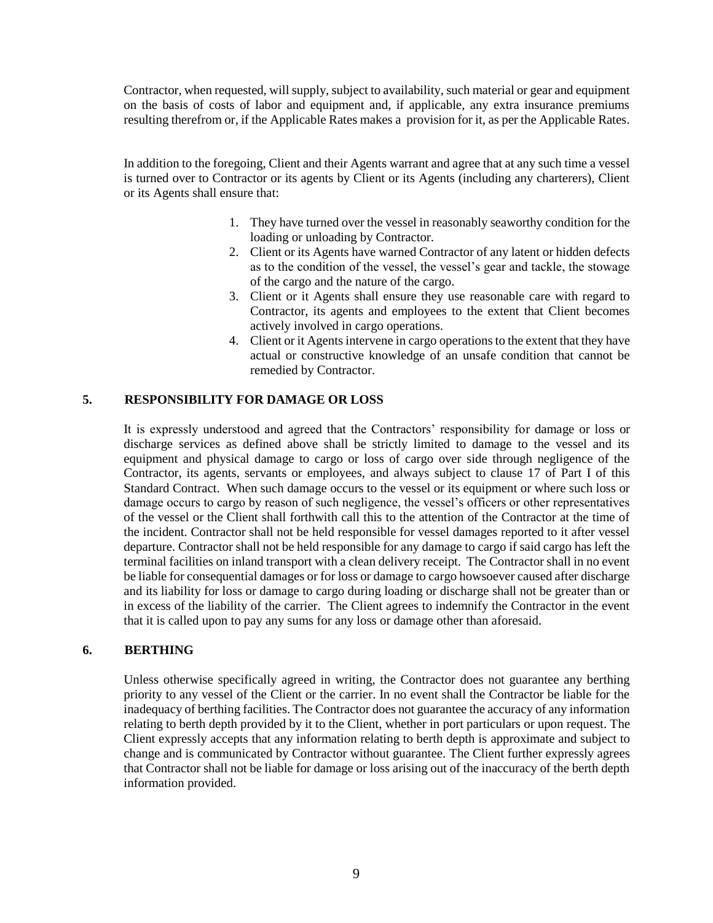Contractor, when requested, will supply, subject to availability, such material or gear and equipment on the basis of costs of labor and equipment and, if applicable, any extra insurance premiums resulting therefrom or, if the Applicable Rates makes a provision for it, as per the Applicable Rates.

In addition to the foregoing, Client and their Agents warrant and agree that at any such time a vessel is turned over to Contractor or its agents by Client or its Agents (including any charterers), Client or its Agents shall ensure that:

- 1. They have turned over the vessel in reasonably seaworthy condition for the loading or unloading by Contractor.
- 2. Client or its Agents have warned Contractor of any latent or hidden defects as to the condition of the vessel, the vessel's gear and tackle, the stowage of the cargo and the nature of the cargo.
- 3. Client or it Agents shall ensure they use reasonable care with regard to Contractor, its agents and employees to the extent that Client becomes actively involved in cargo operations.
- 4. Client or it Agents intervene in cargo operations to the extent that they have actual or constructive knowledge of an unsafe condition that cannot be remedied by Contractor.

# **5. RESPONSIBILITY FOR DAMAGE OR LOSS**

It is expressly understood and agreed that the Contractors' responsibility for damage or loss or discharge services as defined above shall be strictly limited to damage to the vessel and its equipment and physical damage to cargo or loss of cargo over side through negligence of the Contractor, its agents, servants or employees, and always subject to clause 17 of Part I of this Standard Contract. When such damage occurs to the vessel or its equipment or where such loss or damage occurs to cargo by reason of such negligence, the vessel's officers or other representatives of the vessel or the Client shall forthwith call this to the attention of the Contractor at the time of the incident. Contractor shall not be held responsible for vessel damages reported to it after vessel departure. Contractor shall not be held responsible for any damage to cargo if said cargo has left the terminal facilities on inland transport with a clean delivery receipt. The Contractor shall in no event be liable for consequential damages or for loss or damage to cargo howsoever caused after discharge and its liability for loss or damage to cargo during loading or discharge shall not be greater than or in excess of the liability of the carrier. The Client agrees to indemnify the Contractor in the event that it is called upon to pay any sums for any loss or damage other than aforesaid.

### **6. BERTHING**

Unless otherwise specifically agreed in writing, the Contractor does not guarantee any berthing priority to any vessel of the Client or the carrier. In no event shall the Contractor be liable for the inadequacy of berthing facilities. The Contractor does not guarantee the accuracy of any information relating to berth depth provided by it to the Client, whether in port particulars or upon request. The Client expressly accepts that any information relating to berth depth is approximate and subject to change and is communicated by Contractor without guarantee. The Client further expressly agrees that Contractor shall not be liable for damage or loss arising out of the inaccuracy of the berth depth information provided.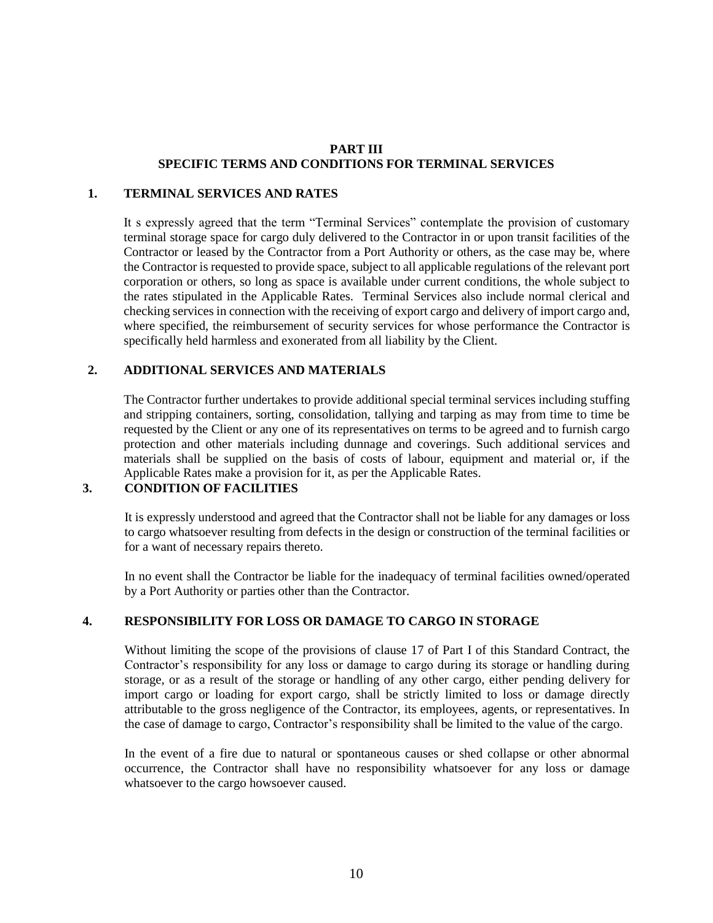## **PART III SPECIFIC TERMS AND CONDITIONS FOR TERMINAL SERVICES**

### **1. TERMINAL SERVICES AND RATES**

It s expressly agreed that the term "Terminal Services" contemplate the provision of customary terminal storage space for cargo duly delivered to the Contractor in or upon transit facilities of the Contractor or leased by the Contractor from a Port Authority or others, as the case may be, where the Contractor is requested to provide space, subject to all applicable regulations of the relevant port corporation or others, so long as space is available under current conditions, the whole subject to the rates stipulated in the Applicable Rates. Terminal Services also include normal clerical and checking services in connection with the receiving of export cargo and delivery of import cargo and, where specified, the reimbursement of security services for whose performance the Contractor is specifically held harmless and exonerated from all liability by the Client.

### **2. ADDITIONAL SERVICES AND MATERIALS**

The Contractor further undertakes to provide additional special terminal services including stuffing and stripping containers, sorting, consolidation, tallying and tarping as may from time to time be requested by the Client or any one of its representatives on terms to be agreed and to furnish cargo protection and other materials including dunnage and coverings. Such additional services and materials shall be supplied on the basis of costs of labour, equipment and material or, if the Applicable Rates make a provision for it, as per the Applicable Rates.

## **3. CONDITION OF FACILITIES**

It is expressly understood and agreed that the Contractor shall not be liable for any damages or loss to cargo whatsoever resulting from defects in the design or construction of the terminal facilities or for a want of necessary repairs thereto.

In no event shall the Contractor be liable for the inadequacy of terminal facilities owned/operated by a Port Authority or parties other than the Contractor.

### **4. RESPONSIBILITY FOR LOSS OR DAMAGE TO CARGO IN STORAGE**

Without limiting the scope of the provisions of clause 17 of Part I of this Standard Contract, the Contractor's responsibility for any loss or damage to cargo during its storage or handling during storage, or as a result of the storage or handling of any other cargo, either pending delivery for import cargo or loading for export cargo, shall be strictly limited to loss or damage directly attributable to the gross negligence of the Contractor, its employees, agents, or representatives. In the case of damage to cargo, Contractor's responsibility shall be limited to the value of the cargo.

In the event of a fire due to natural or spontaneous causes or shed collapse or other abnormal occurrence, the Contractor shall have no responsibility whatsoever for any loss or damage whatsoever to the cargo howsoever caused.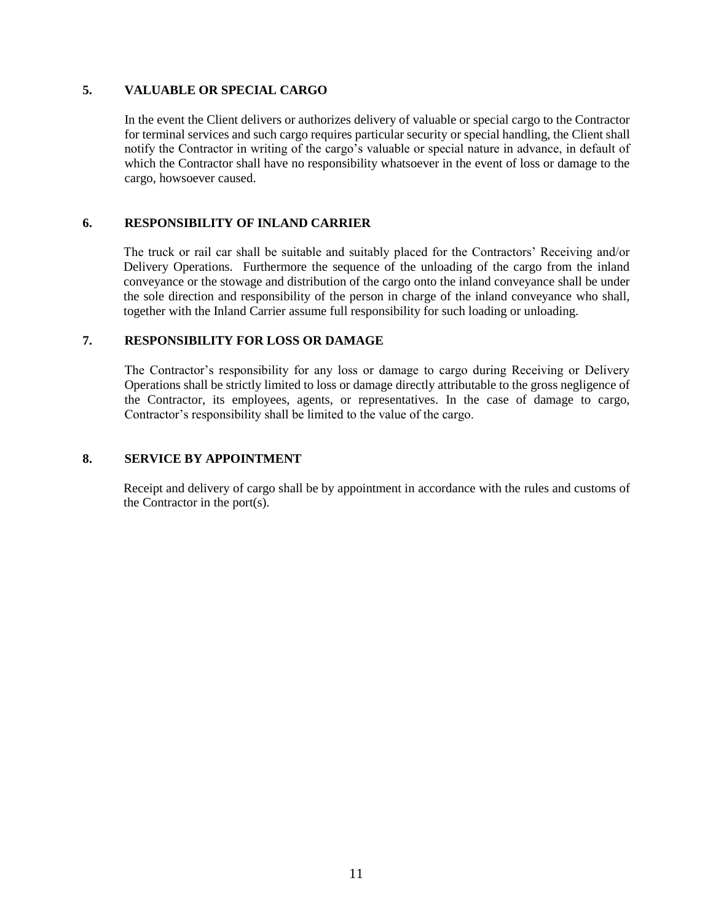## **5. VALUABLE OR SPECIAL CARGO**

In the event the Client delivers or authorizes delivery of valuable or special cargo to the Contractor for terminal services and such cargo requires particular security or special handling, the Client shall notify the Contractor in writing of the cargo's valuable or special nature in advance, in default of which the Contractor shall have no responsibility whatsoever in the event of loss or damage to the cargo, howsoever caused.

## **6. RESPONSIBILITY OF INLAND CARRIER**

The truck or rail car shall be suitable and suitably placed for the Contractors' Receiving and/or Delivery Operations. Furthermore the sequence of the unloading of the cargo from the inland conveyance or the stowage and distribution of the cargo onto the inland conveyance shall be under the sole direction and responsibility of the person in charge of the inland conveyance who shall, together with the Inland Carrier assume full responsibility for such loading or unloading.

### **7. RESPONSIBILITY FOR LOSS OR DAMAGE**

The Contractor's responsibility for any loss or damage to cargo during Receiving or Delivery Operations shall be strictly limited to loss or damage directly attributable to the gross negligence of the Contractor, its employees, agents, or representatives. In the case of damage to cargo, Contractor's responsibility shall be limited to the value of the cargo.

#### **8. SERVICE BY APPOINTMENT**

Receipt and delivery of cargo shall be by appointment in accordance with the rules and customs of the Contractor in the port(s).